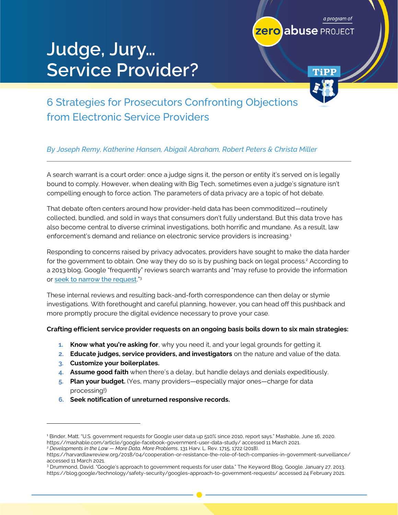# **Judge, Jury… Service Provider?**



TiPP

a program of

# 6 Strategies for Prosecutors Confronting Objections from Electronic Service Providers

#### *By Joseph Remy, Katherine Hansen, Abigail Abraham, Robert Peters & Christa Miller*

A search warrant is a court order: once a judge signs it, the person or entity it's served on is legally bound to comply. However, when dealing with Big Tech, sometimes even a judge's signature isn't compelling enough to force action. The parameters of data privacy are a topic of hot debate.

That debate often centers around how provider-held data has been commoditized—routinely collected, bundled, and sold in ways that consumers don't fully understand. But this data trove has also become central to diverse criminal investigations, both horrific and mundane. As a result, law enforcement's demand and reliance on electronic service providers is increasing.<sup>1</sup>

Responding to concerns raised by privacy advocates, providers have sought to make the data harder for the government to obtain. One way they do so is by pushing back on legal process.<sup>2</sup> According to a 2013 blog, Google "frequently" reviews search warrants and "may refuse to provide the information or <u>[seek to narrow the request](http://googleblog.blogspot.com/2006/03/judge-tells-doj-no-on-search-queries.html)</u>."<sup>3</sup>

These internal reviews and resulting back-and-forth correspondence can then delay or stymie investigations. With forethought and careful planning, however, you can head off this pushback and more promptly procure the digital evidence necessary to prove your case.

#### **Crafting efficient service provider requests on an ongoing basis boils down to six main strategies:**

- **1. Know what you're asking for**, why you need it, and your legal grounds for getting it.
- **2. Educate judges, service providers, and investigators** on the nature and value of the data.
- **3. Customize your boilerplates.**
- **4. Assume good faith** when there's a delay, but handle delays and denials expeditiously.
- **5. Plan your budget.** (Yes, many providers—especially major ones—charge for data processing!)
- **6. Seek notification of unreturned responsive records.**

accessed 11 March 2021.

<sup>1</sup> Binder, Matt. "U.S. government requests for Google user data up 510% since 2010, report says." Mashable, June 16, 2020. <https://mashable.com/article/google-facebook-government-user-data-study/> accessed 11 March 2021.

<sup>2</sup> *Developments in the Law — More Data, More Problems*, 131 Harv. L. Rev. 1715, 1722 (2018). <https://harvardlawreview.org/2018/04/cooperation-or-resistance-the-role-of-tech-companies-in-government-surveillance/>

<sup>3</sup> Drummond, David. "Google's approach to government requests for user data." The Keyword Blog, Google. January 27, 2013. <https://blog.google/technology/safety-security/googles-approach-to-government-requests/> accessed 24 February 2021.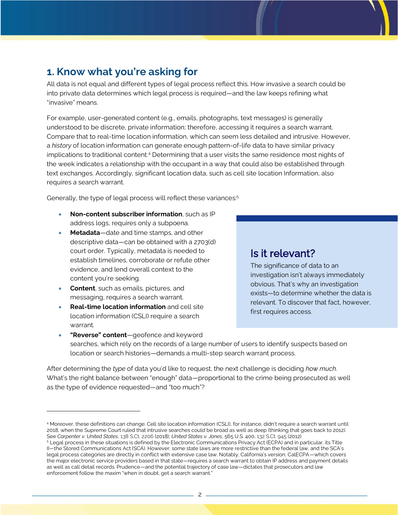# **1. Know what you're asking for**

All data is not equal and different types of legal process reflect this. How invasive a search could be into private data determines which legal process is required—and the law keeps refining what "invasive" means.

For example, user-generated content (e.g., emails, photographs, text messages) is generally understood to be discrete, private information; therefore, accessing it requires a search warrant. Compare that to real-time location information, which can seem less detailed and intrusive. However, a *history* of location information can generate enough pattern-of-life data to have similar privacy implications to traditional content. <sup>4</sup> Determining that a user visits the same residence most nights of the week indicates a relationship with the occupant in a way that could also be established through text exchanges. Accordingly, significant location data, such as cell site location Information, also requires a search warrant.

Generally, the type of legal process will reflect these variances:<sup>5</sup>

- **Non-content subscriber information**, such as IP address logs, requires only a subpoena.
- **Metadata**—date and time stamps, and other descriptive data—can be obtained with a 2703(d) court order. Typically, metadata is needed to establish timelines, corroborate or refute other evidence, and lend overall context to the content you're seeking.
- **Content**, such as emails, pictures, and messaging, requires a search warrant.
- **Real-time location information** and cell site location information (CSLI) require a search warrant.

### Is it relevant?

The significance of data to an investigation isn't always immediately obvious. That's why an investigation exists—to determine whether the data is relevant. To discover that fact, however, first requires access.

• **"Reverse" content**—geofence and keyword searches, which rely on the records of a large number of users to identify suspects based on location or search histories—demands a multi-step search warrant process.

After determining the *type* of data you'd like to request, the next challenge is deciding *how much*. What's the right balance between "enough" data—proportional to the crime being prosecuted as well as the type of evidence requested—and "too much"?

<sup>4</sup> Moreover, these definitions can change. Cell site location information (CSLI), for instance, didn't require a search warrant until 2018, when the Supreme Court ruled that intrusive searches could be broad as well as deep (thinking that goes back to 2012). See *Carpenter v. United States*, 138 S.Ct. 2206 (2018); *United States v. Jones*, 565 U.S. 400, 132 S.Ct. 945 (2012)

<sup>5</sup> Legal process in these situations is defined by the Electronic Communications Privacy Act (ECPA) and in particular, its Title II—the Stored Communications Act (SCA). However, some state laws are more restrictive than the federal law, and the SCA's legal process categories are directly in conflict with extensive case law. Notably, California's version, CalECPA—which covers the major electronic service providers based in that state—requires a search warrant to obtain IP address and payment details as well as call detail records. Prudence—and the potential trajectory of case law—dictates that prosecutors and law enforcement follow the maxim "when in doubt, get a search warrant."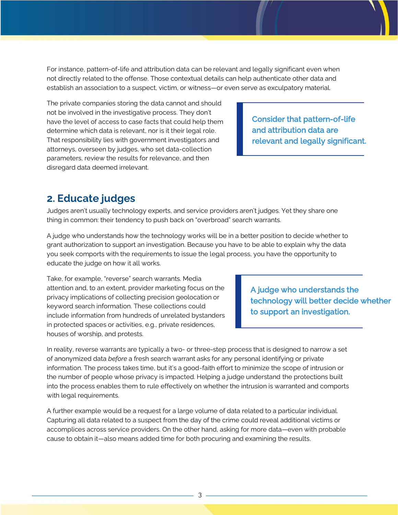For instance, pattern-of-life and attribution data can be relevant and legally significant even when not directly related to the offense. Those contextual details can help authenticate other data and establish an association to a suspect, victim, or witness—or even serve as exculpatory material.

The private companies storing the data cannot and should not be involved in the investigative process. They don't have the level of access to case facts that could help them determine which data is relevant, nor is it their legal role. That responsibility lies with government investigators and attorneys, overseen by judges, who set data-collection parameters, review the results for relevance, and then disregard data deemed irrelevant.

Consider that pattern-of-life and attribution data are relevant and legally significant.

### **2. Educate judges**

Judges aren't usually technology experts, and service providers aren't judges. Yet they share one thing in common: their tendency to push back on "overbroad" search warrants.

A judge who understands how the technology works will be in a better position to decide whether to grant authorization to support an investigation. Because you have to be able to explain why the data you seek comports with the requirements to issue the legal process, you have the opportunity to educate the judge on how it all works.

Take, for example, "reverse" search warrants. Media attention and, to an extent, provider marketing focus on the privacy implications of collecting precision geolocation or keyword search information. These collections could include information from hundreds of unrelated bystanders in protected spaces or activities, e.g., private residences, houses of worship, and protests.

A judge who understands the technology will better decide whether to support an investigation.

In reality, reverse warrants are typically a two- or three-step process that is designed to narrow a set of anonymized data *before* a fresh search warrant asks for any personal identifying or private information. The process takes time, but it's a good-faith effort to minimize the scope of intrusion or the number of people whose privacy is impacted. Helping a judge understand the protections built into the process enables them to rule effectively on whether the intrusion is warranted and comports with legal requirements.

A further example would be a request for a large volume of data related to a particular individual. Capturing all data related to a suspect from the day of the crime could reveal additional victims or accomplices across service providers. On the other hand, asking for more data—even with probable cause to obtain it—also means added time for both procuring and examining the results.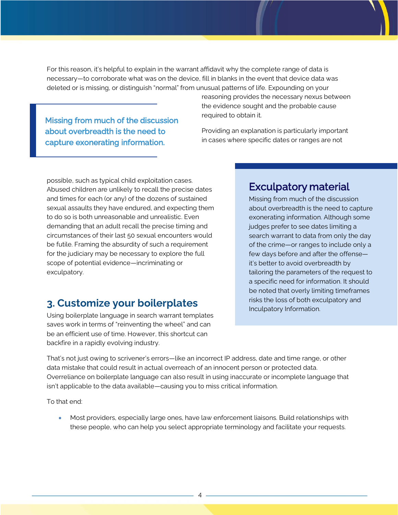For this reason, it's helpful to explain in the warrant affidavit why the complete range of data is necessary—to corroborate what was on the device, fill in blanks in the event that device data was deleted or is missing, or distinguish "normal" from unusual patterns of life. Expounding on your

Missing from much of the discussion about overbreadth is the need to capture exonerating information.

reasoning provides the necessary nexus between the evidence sought and the probable cause required to obtain it.

Providing an explanation is particularly important in cases where specific dates or ranges are not

possible, such as typical child exploitation cases. Abused children are unlikely to recall the precise dates and times for each (or any) of the dozens of sustained sexual assaults they have endured, and expecting them to do so is both unreasonable and unrealistic. Even demanding that an adult recall the precise timing and circumstances of their last 50 sexual encounters would be futile. Framing the absurdity of such a requirement for the judiciary may be necessary to explore the full scope of potential evidence—incriminating or exculpatory.

### Exculpatory material

Missing from much of the discussion about overbreadth is the need to capture exonerating information. Although some judges prefer to see dates limiting a search warrant to data from only the day of the crime—or ranges to include only a few days before and after the offense it's better to avoid overbreadth by tailoring the parameters of the request to a specific need for information. It should be noted that overly limiting timeframes risks the loss of both exculpatory and Inculpatory Information.

### **3. Customize your boilerplates**

Using boilerplate language in search warrant templates saves work in terms of "reinventing the wheel" and can be an efficient use of time. However, this shortcut can backfire in a rapidly evolving industry.

That's not just owing to scrivener's errors—like an incorrect IP address, date and time range, or other data mistake that could result in actual overreach of an innocent person or protected data. Overreliance on boilerplate language can also result in using inaccurate or incomplete language that isn't applicable to the data available—causing you to miss critical information.

To that end:

• Most providers, especially large ones, have law enforcement liaisons. Build relationships with these people, who can help you select appropriate terminology and facilitate your requests.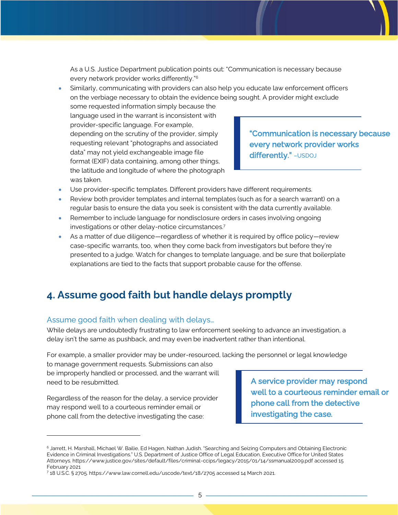As a U.S. Justice Department publication points out: "Communication is necessary because every network provider works differently."<sup>6</sup>

• Similarly, communicating with providers can also help you educate law enforcement officers on the verbiage necessary to obtain the evidence being sought. A provider might exclude

some requested information simply because the language used in the warrant is inconsistent with provider-specific language. For example, depending on the scrutiny of the provider, simply requesting relevant "photographs and associated data" may not yield exchangeable image file format (EXIF) data containing, among other things, the latitude and longitude of where the photograph was taken.

"Communication is necessary because every network provider works differently." - USDOJ

- Use provider-specific templates. Different providers have different requirements.
- Review both provider templates and internal templates (such as for a search warrant) on a regular basis to ensure the data you seek is consistent with the data currently available.
- Remember to include language for nondisclosure orders in cases involving ongoing investigations or other delay-notice circumstances.<sup>7</sup>
- As a matter of due diligence—regardless of whether it is required by office policy—review case-specific warrants, too, when they come back from investigators but before they're presented to a judge. Watch for changes to template language, and be sure that boilerplate explanations are tied to the facts that support probable cause for the offense.

### **4. Assume good faith but handle delays promptly**

#### Assume good faith when dealing with delays…

While delays are undoubtedly frustrating to law enforcement seeking to advance an investigation, a delay isn't the same as pushback, and may even be inadvertent rather than intentional.

For example, a smaller provider may be under-resourced, lacking the personnel or legal knowledge

to manage government requests. Submissions can also be improperly handled or processed, and the warrant will need to be resubmitted.

Regardless of the reason for the delay, a service provider may respond well to a courteous reminder email or phone call from the detective investigating the case:

A service provider may respond well to a courteous reminder email or phone call from the detective investigating the case.

<sup>6</sup> Jarrett, H. Marshall, Michael W. Bailie, Ed Hagen, Nathan Judish. "Searching and Seizing Computers and Obtaining Electronic Evidence in Criminal Investigations." U.S. Department of Justice Office of Legal Education, Executive Office for United States Attorneys[. https://www.justice.gov/sites/default/files/criminal-ccips/legacy/2015/01/14/ssmanual2009.pdf](https://www.justice.gov/sites/default/files/criminal-ccips/legacy/2015/01/14/ssmanual2009.pdf) accessed 15 February 2021

<sup>7</sup> 18 U.S.C. § 2705[. https://www.law.cornell.edu/uscode/text/18/2705](https://www.law.cornell.edu/uscode/text/18/2705) accessed 14 March 2021.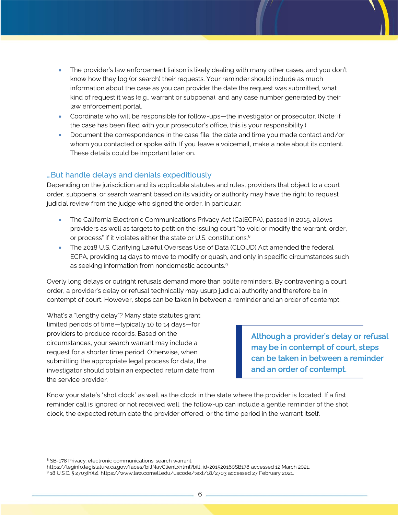- The provider's law enforcement liaison is likely dealing with many other cases, and you don't know how they log (or search) their requests. Your reminder should include as much information about the case as you can provide: the date the request was submitted, what kind of request it was (e.g., warrant or subpoena), and any case number generated by their law enforcement portal.
- Coordinate who will be responsible for follow-ups—the investigator or prosecutor. (Note: if the case has been filed with your prosecutor's office, this is your responsibility.)
- Document the correspondence in the case file: the date and time you made contact and/or whom you contacted or spoke with. If you leave a voicemail, make a note about its content. These details could be important later on.

#### …But handle delays and denials expeditiously

Depending on the jurisdiction and its applicable statutes and rules, providers that object to a court order, subpoena, or search warrant based on its validity or authority may have the right to request judicial review from the judge who signed the order. In particular:

- The California Electronic Communications Privacy Act (CalECPA), passed in 2015, allows providers as well as targets to petition the issuing court "to void or modify the warrant, order, or process" if it violates either the state or U.S. constitutions.<sup>8</sup>
- The 2018 U.S. Clarifying Lawful Overseas Use of Data (CLOUD) Act amended the federal ECPA, providing 14 days to move to modify or quash, and only in specific circumstances such as seeking information from nondomestic accounts.<sup>9</sup>

Overly long delays or outright refusals demand more than polite reminders. By contravening a court order, a provider's delay or refusal technically may usurp judicial authority and therefore be in contempt of court. However, steps can be taken in between a reminder and an order of contempt.

What's a "lengthy delay"? Many state statutes grant limited periods of time—typically 10 to 14 days—for providers to produce records. Based on the circumstances, your search warrant may include a request for a shorter time period. Otherwise, when submitting the appropriate legal process for data, the investigator should obtain an expected return date from the service provider.

Although a provider's delay or refusal may be in contempt of court, steps can be taken in between a reminder and an order of contempt.

Know your state's "shot clock" as well as the clock in the state where the provider is located. If a first reminder call is ignored or not received well, the follow-up can include a gentle reminder of the shot clock, the expected return date the provider offered, or the time period in the warrant itself.

<sup>8</sup> SB-178 Privacy: electronic communications: search warrant.

[https://leginfo.legislature.ca.gov/faces/billNavClient.xhtml?bill\\_id=201520160SB178](https://leginfo.legislature.ca.gov/faces/billNavClient.xhtml?bill_id=201520160SB178) accessed 12 March 2021.

<sup>9</sup> 18 U.S.C. § 2703(h)(2)[. https://www.law.cornell.edu/uscode/text/18/2703](https://www.law.cornell.edu/uscode/text/18/2703) accessed 27 February 2021.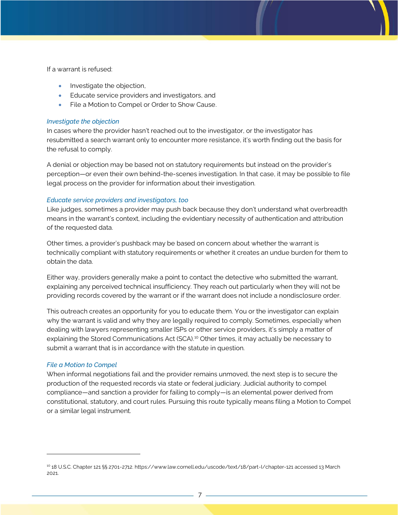If a warrant is refused:

- Investigate the objection,
- Educate service providers and investigators, and
- File a Motion to Compel or Order to Show Cause.

#### *Investigate the objection*

In cases where the provider hasn't reached out to the investigator, or the investigator has resubmitted a search warrant only to encounter more resistance, it's worth finding out the basis for the refusal to comply.

A denial or objection may be based not on statutory requirements but instead on the provider's perception—or even their own behind-the-scenes investigation. In that case, it may be possible to file legal process on the provider for information about their investigation.

#### *Educate service providers and investigators, too*

Like judges, sometimes a provider may push back because they don't understand what overbreadth means in the warrant's context, including the evidentiary necessity of authentication and attribution of the requested data.

Other times, a provider's pushback may be based on concern about whether the warrant is technically compliant with statutory requirements or whether it creates an undue burden for them to obtain the data.

Either way, providers generally make a point to contact the detective who submitted the warrant, explaining any perceived technical insufficiency. They reach out particularly when they will not be providing records covered by the warrant or if the warrant does not include a nondisclosure order.

This outreach creates an opportunity for you to educate them. You or the investigator can explain why the warrant is valid and why they are legally required to comply. Sometimes, especially when dealing with lawyers representing smaller ISPs or other service providers, it's simply a matter of explaining the Stored Communications Act (SCA).<sup>10</sup> Other times, it may actually be necessary to submit a warrant that is in accordance with the statute in question.

#### *File a Motion to Compel*

When informal negotiations fail and the provider remains unmoved, the next step is to secure the production of the requested records via state or federal judiciary. Judicial authority to compel compliance—and sanction a provider for failing to comply—is an elemental power derived from constitutional, statutory, and court rules. Pursuing this route typically means filing a Motion to Compel or a similar legal instrument.

<sup>10</sup> 18 U.S.C. Chapter 121 §§ 2701-2712[. https://www.law.cornell.edu/uscode/text/18/part-I/chapter-121](https://www.law.cornell.edu/uscode/text/18/part-I/chapter-121) accessed 13 March 2021.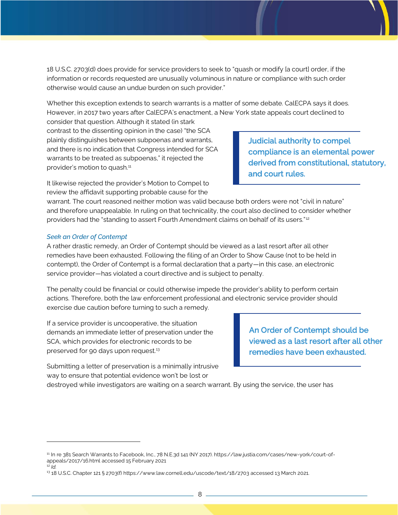18 U.S.C. 2703(d) does provide for service providers to seek to "quash or modify [a court] order, if the information or records requested are unusually voluminous in nature or compliance with such order otherwise would cause an undue burden on such provider."

Whether this exception extends to search warrants is a matter of some debate. CalECPA says it does. However, in 2017 two years after CalECPA's enactment, a New York state appeals court declined to

consider that question. Although it stated (in stark contrast to the dissenting opinion in the case) "the SCA plainly distinguishes between subpoenas and warrants, and there is no indication that Congress intended for SCA warrants to be treated as subpoenas," it rejected the provider's motion to quash.<sup>11</sup>

Judicial authority to compel compliance is an elemental power derived from constitutional, statutory, and court rules.

It likewise rejected the provider's Motion to Compel to review the affidavit supporting probable cause for the

warrant. The court reasoned neither motion was valid because both orders were not "civil in nature" and therefore unappealable. In ruling on that technicality, the court also declined to consider whether providers had the "standing to assert Fourth Amendment claims on behalf of its users." <sup>12</sup>

#### *Seek an Order of Contempt*

A rather drastic remedy, an Order of Contempt should be viewed as a last resort after all other remedies have been exhausted. Following the filing of an Order to Show Cause (not to be held in contempt), the Order of Contempt is a formal declaration that a party—in this case, an electronic service provider—has violated a court directive and is subject to penalty.

The penalty could be financial or could otherwise impede the provider's ability to perform certain actions. Therefore, both the law enforcement professional and electronic service provider should exercise due caution before turning to such a remedy.

If a service provider is uncooperative, the situation demands an immediate letter of preservation under the SCA, which provides for electronic records to be preserved for 90 days upon request.<sup>13</sup>

An Order of Contempt should be viewed as a last resort after all other remedies have been exhausted.

Submitting a letter of preservation is a minimally intrusive way to ensure that potential evidence won't be lost or

destroyed while investigators are waiting on a search warrant. By using the service, the user has

<sup>11</sup> In re 381 Search Warrants to Facebook, Inc., 78 N.E.3d 141 (NY 2017)[. https://law.justia.com/cases/new-york/court-of](https://law.justia.com/cases/new-york/court-of-appeals/2017/16.html)[appeals/2017/16.html](https://law.justia.com/cases/new-york/court-of-appeals/2017/16.html) accessed 15 February 2021

 $12$  *Id.* 

<sup>13</sup> 18 U.S.C. Chapter 121 § 2703(f[\) https://www.law.cornell.edu/uscode/text/18/2703](https://www.law.cornell.edu/uscode/text/18/2703) accessed 13 March 2021.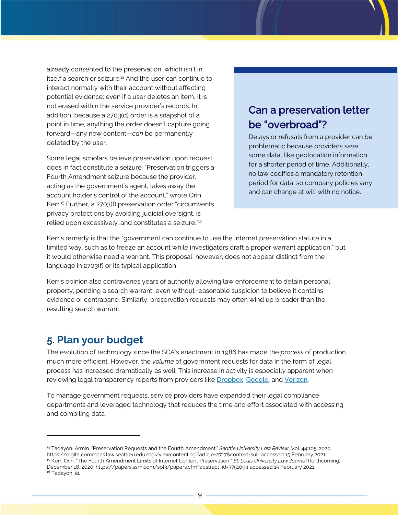already consented to the preservation, which isn't in itself a search or seizure.<sup>14</sup> And the user can continue to interact normally with their account without affecting potential evidence: even if a user deletes an item, it is not erased within the service provider's records. In addition, because a 2703(d) order is a snapshot of a point in time, anything the order doesn't capture going forward—any new content—*can* be permanently deleted by the user.

Some legal scholars believe preservation upon request does in fact constitute a seizure. "Preservation triggers a Fourth Amendment seizure because the provider, acting as the government's agent, takes away the account holder's control of the account," wrote Orin Kerr.<sup>15</sup> Further, a 2703(f) preservation order "circumvents privacy protections by avoiding judicial oversight, is relied upon excessively…and constitutes a seizure."<sup>16</sup>

# Can a preservation letter be "overbroad"?

Delays or refusals from a provider can be problematic because providers save some data, like geolocation information, for a shorter period of time. Additionally, no law codifies a mandatory retention period for data, so company policies vary and can change at will with no notice.

Kerr's remedy is that the "government can continue to use the Internet preservation statute in a limited way, such as to freeze an account while investigators draft a proper warrant application," but it would otherwise need a warrant. This proposal, however, does not appear distinct from the language in 2703(f) or its typical application.

Kerr's opinion also contravenes years of authority allowing law enforcement to detain personal property, pending a search warrant, even without reasonable suspicion to believe it contains evidence or contraband. Similarly, preservation requests may often wind up broader than the resulting search warrant.

### **5. Plan your budget**

The evolution of technology since the SCA's enactment in 1986 has made the *process* of production much more efficient. However, the *volume* of government requests for data in the form of legal process has increased dramatically as well. This increase in activity is especially apparent when reviewing legal transparency reports from providers like [Dropbox](https://www.dropbox.com/transparency/reports), [Google](https://transparencyreport.google.com/user-data/overview), and [Verizon](https://www.verizonmedia.com/transparency/reports/government-data-requests.html).

To manage government requests, service providers have expanded their legal compliance departments and leveraged technology that reduces the time and effort associated with accessing and compiling data.

<sup>14</sup> Tadayon, Armin. "Preservation Requests and the Fourth Amendment." *Seattle University Law Review*, Vol. 44:105. 2020. <https://digitalcommons.law.seattleu.edu/cgi/viewcontent.cgi?article=2717&context=sulr> accessed 15 February 2021. <sup>15</sup> Kerr, Orin. "The Fourth Amendment Limits of Internet Content Preservation." *St. Louis University Law Journal* (forthcoming). December 18, 2020[. https://papers.ssrn.com/sol3/papers.cfm?abstract\\_id=3751094](https://papers.ssrn.com/sol3/papers.cfm?abstract_id=3751094) accessed 15 February 2021. <sup>16</sup> Tadayon, *Id.*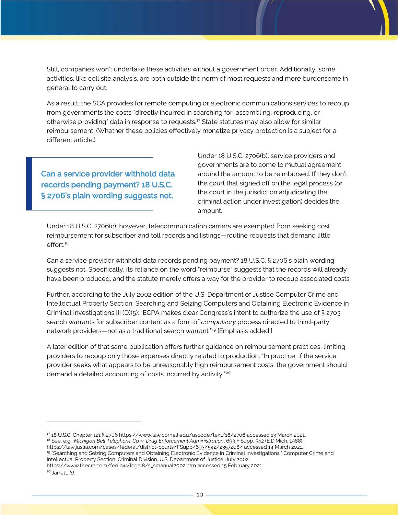Still, companies won't undertake these activities without a government order. Additionally, some activities, like cell site analysis, are both outside the norm of most requests and more burdensome in general to carry out.

As a result, the SCA provides for remote computing or electronic communications services to recoup from governments the costs "directly incurred in searching for, assembling, reproducing, or otherwise providing" data in response to requests.<sup>17</sup> State statutes may also allow for similar reimbursement. (Whether these policies effectively monetize privacy protection is a subject for a different article.)

Can a service provider withhold data records pending payment? 18 U.S.C. § 2706's plain wording suggests not.

Under 18 U.S.C. 2706(b), service providers and governments are to come to mutual agreement around the amount to be reimbursed. If they don't, the court that signed off on the legal process (or the court in the jurisdiction adjudicating the criminal action under investigation) decides the amount.

Under 18 U.S.C. 2706(c), however, telecommunication carriers are exempted from seeking cost reimbursement for subscriber and toll records and listings—routine requests that demand little effort.<sup>18</sup>

Can a service provider withhold data records pending payment? 18 U.S.C. § 2706's plain wording suggests not. Specifically, its reliance on the word "reimburse" suggests that the records will already have been produced, and the statute merely offers a way for the provider to recoup associated costs.

Further, according to the July 2002 edition of the U.S. Department of Justice Computer Crime and Intellectual Property Section, Searching and Seizing Computers and Obtaining Electronic Evidence in Criminal Investigations III (D)(5): "ECPA makes clear Congress's intent to authorize the use of § 2703 search warrants for subscriber content as a form of *compulsory* process directed to third-party network providers—not as a traditional search warrant."<sup>19</sup> [Emphasis added.]

A later edition of that same publication offers further guidance on reimbursement practices, limiting providers to recoup only those expenses directly related to production: "In practice, if the service provider seeks what appears to be unreasonably high reimbursement costs, the government should demand a detailed accounting of costs incurred by activity."<sup>20</sup>

<sup>17</sup> 18 U.S.C. Chapter 121 § 270[6 https://www.law.cornell.edu/uscode/text/18/2706](https://www.law.cornell.edu/uscode/text/18/2706) accessed 13 March 2021. <sup>18</sup> See, e.g., *Michigan Bell Telephone Co. v. Drug Enforcement Administration*, 693 F.Supp. 542 (E.D.Mich. 1988).

<https://law.justia.com/cases/federal/district-courts/FSupp/693/542/2357208/> accessed 14 March 2021.

<sup>19</sup> "Searching and Seizing Computers and Obtaining Electronic Evidence in Criminal Investigations." Computer Crime and Intellectual Property Section, Criminal Division, U.S. Department of Justice. July 2002.

[https://www.thecre.com/fedlaw/legal8/s\\_smanual2002.htm](https://www.thecre.com/fedlaw/legal8/s_smanual2002.htm) accessed 15 February 2021.

<sup>20</sup> Jarrett, *Id.*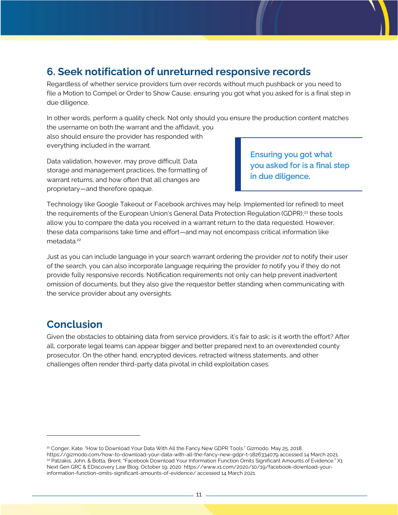## **6. Seek notification of unreturned responsive records**

Regardless of whether service providers turn over records without much pushback or you need to file a Motion to Compel or Order to Show Cause, ensuring you got what you asked for is a final step in due diligence.

In other words, perform a quality check. Not only should you ensure the production content matches the username on both the warrant and the affidavit, you also should ensure the provider has responded with everything included in the warrant.

Data validation, however, may prove difficult. Data storage and management practices, the formatting of warrant returns, and how often that all changes are proprietary—and therefore opaque.

Ensuring you got what you asked for is a final step in due diligence.

Technology like Google Takeout or Facebook archives may help. Implemented (or refined) to meet the requirements of the European Union's General Data Protection Regulation (GDPR),<sup>21</sup> these tools allow you to compare the data you received in a warrant return to the data requested. However, these data comparisons take time and effort—and may not encompass critical information like metadata.<sup>22</sup>

Just as you can include language in your search warrant ordering the provider *not* to notify their user of the search, you can also incorporate language requiring the provider *to* notify you if they do not provide fully responsive records. Notification requirements not only can help prevent inadvertent omission of documents, but they also give the requestor better standing when communicating with the service provider about any oversights.

### **Conclusion**

Given the obstacles to obtaining data from service providers, it's fair to ask: is it worth the effort? After all, corporate legal teams can appear bigger and better prepared next to an overextended county prosecutor. On the other hand, encrypted devices, retracted witness statements, and other challenges often render third-party data pivotal in child exploitation cases.

<sup>&</sup>lt;sup>21</sup> Conger, Kate. "How to Download Your Data With All the Fancy New GDPR Tools." Gizmodo, May 25, 2018. <https://gizmodo.com/how-to-download-your-data-with-all-the-fancy-new-gdpr-t-1826334079> accessed 14 March 2021. <sup>22</sup> Patzakis, John, & Botta, Brent. "Facebook Download Your Information Function Omits Significant Amounts of Evidence." X1 Next Gen GRC & EDiscovery Law Blog, October 19, 2020[. https://www.x1.com/2020/10/19/facebook-download-your](https://www.x1.com/2020/10/19/facebook-download-your-information-function-omits-significant-amounts-of-evidence/)[information-function-omits-significant-amounts-of-evidence/](https://www.x1.com/2020/10/19/facebook-download-your-information-function-omits-significant-amounts-of-evidence/) accessed 14 March 2021.